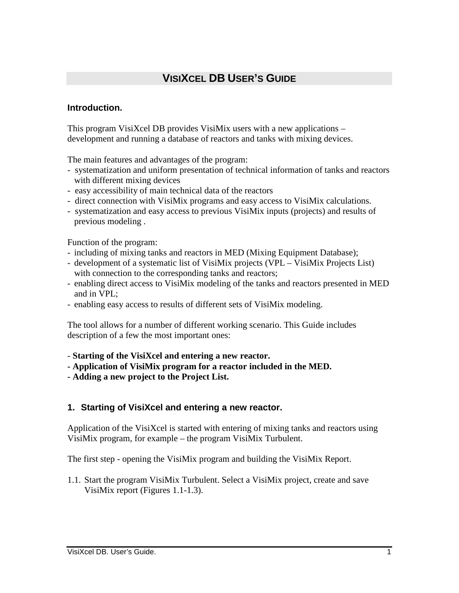# **VISIXCEL DB USER'S GUIDE**

#### **Introduction.**

This program VisiXcel DB provides VisiMix users with a new applications – development and running a database of reactors and tanks with mixing devices.

The main features and advantages of the program:

- systematization and uniform presentation of technical information of tanks and reactors with different mixing devices
- easy accessibility of main technical data of the reactors
- direct connection with VisiMix programs and easy access to VisiMix calculations.
- systematization and easy access to previous VisiMix inputs (projects) and results of previous modeling .

Function of the program:

- including of mixing tanks and reactors in MED (Mixing Equipment Database);
- development of a systematic list of VisiMix projects (VPL VisiMix Projects List) with connection to the corresponding tanks and reactors;
- enabling direct access to VisiMix modeling of the tanks and reactors presented in MED and in VPL;
- enabling easy access to results of different sets of VisiMix modeling.

The tool allows for a number of different working scenario. This Guide includes description of a few the most important ones:

- **Starting of the VisiXcel and entering a new reactor.**
- **Application of VisiMix program for a reactor included in the MED.**
- **Adding a new project to the Project List.**

#### **1. Starting of VisiXcel and entering a new reactor.**

Application of the VisiXcel is started with entering of mixing tanks and reactors using VisiMix program, for example – the program VisiMix Turbulent.

The first step - opening the VisiMix program and building the VisiMix Report.

1.1. Start the program VisiMix Turbulent. Select a VisiMix project, create and save VisiMix report (Figures 1.1-1.3).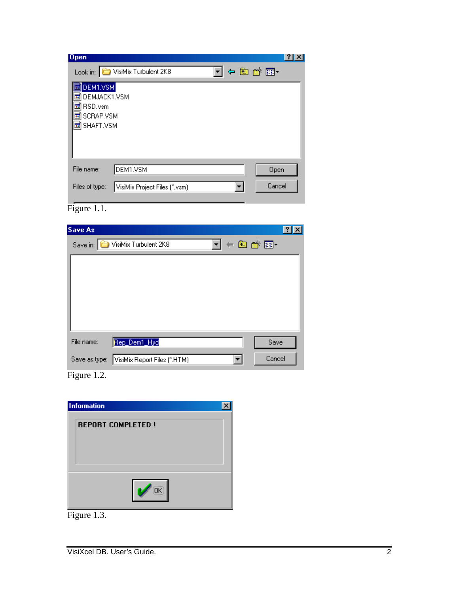| $\log$                                                        |  |
|---------------------------------------------------------------|--|
| 中国音響・<br>VisiMix Turbulent 2K8<br>Look in:                    |  |
| DEM1.VSM<br>DEMJACK1.VSM<br>RSD.vsm<br>SCRAP.VSM<br>SHAFT.VSM |  |
| DEM1.VSM<br>File name:<br>Open                                |  |
| Cancel<br>Files of type:<br>VisiMix Project Files (*.vsm)     |  |

Figure 1.1.

| <b>Save As</b> |                                                                                                         |  |
|----------------|---------------------------------------------------------------------------------------------------------|--|
|                | $\underline{\mathbf{N}}$ + b $\mathbf{C}$ + $\underline{\mathbf{E}}$ +<br>Save in: UsiMix Turbulent 2K8 |  |
|                |                                                                                                         |  |
|                |                                                                                                         |  |
|                |                                                                                                         |  |
|                |                                                                                                         |  |
|                |                                                                                                         |  |
| File name:     | Rep_Dem1_Hyd<br>Save                                                                                    |  |
| Save as type:  | Cancel<br>VisiMix Report Files (*.HTM)                                                                  |  |
|                |                                                                                                         |  |

Figure 1.2.

| <b>Information</b>       |  |
|--------------------------|--|
| <b>REPORT COMPLETED!</b> |  |
|                          |  |
|                          |  |
|                          |  |
|                          |  |

Figure 1.3.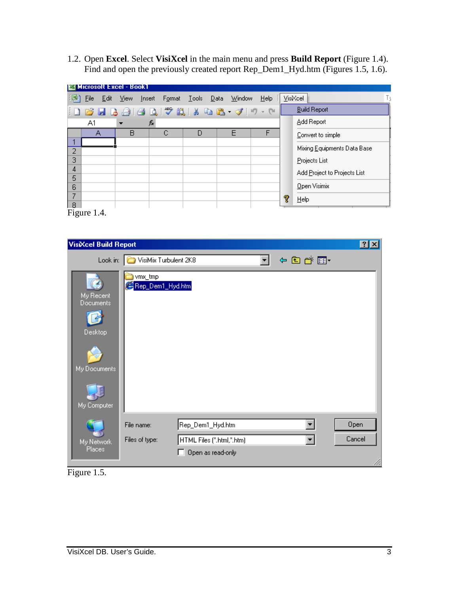1.2. Open **Excel**. Select **VisiXcel** in the main menu and press **Build Report** (Figure 1.4). Find and open the previously created report Rep\_Dem1\_Hyd.htm (Figures 1.5, 1.6).

|        |      |      | Microsoft Excel - Book1 |        |        |                            |                                           |      |   |                              |
|--------|------|------|-------------------------|--------|--------|----------------------------|-------------------------------------------|------|---|------------------------------|
| 网      | File | Edit | View                    | Insert | Format | <u>T</u> ools <u>D</u> ata | <b>Window</b>                             | Help |   | VisiXcel                     |
|        |      |      |                         |        |        |                            | : D & H B &   & B ; X   & B & - 4   9 - 0 |      |   | <b>Build Report</b>          |
|        | A1   |      |                         | f.     |        |                            |                                           |      |   | Add Report                   |
|        | А    |      | В                       |        | с      | D                          | F                                         | F    |   | Convert to simple            |
| 2      |      |      |                         |        |        |                            |                                           |      |   | Mixing Equipments Data Base  |
| 3      |      |      |                         |        |        |                            |                                           |      |   | Projects List                |
| 4<br>5 |      |      |                         |        |        |                            |                                           |      |   | Add Project to Projects List |
| 6      |      |      |                         |        |        |                            |                                           |      |   | Open Visimix                 |
| 7      |      |      |                         |        |        |                            |                                           |      | Ŷ | $He$ lp                      |
| 8      |      |      |                         |        |        |                            |                                           |      |   |                              |

Figure 1.4.

| <b>VisiXcel Build Report</b>         |                                   |                                                |      | 2 X    |
|--------------------------------------|-----------------------------------|------------------------------------------------|------|--------|
|                                      | Look in: UP VisiMix Turbulent 2K8 |                                                | 中国首都 |        |
| My Recent<br>Documents<br>Desktop    | vmx_tmp<br>Rep_Dem1_Hyd.htm       |                                                |      |        |
| My Documents<br>My Computer          | File name:                        | Rep_Dem1_Hyd.htm                               |      | Open   |
| My Network<br>Places<br>÷-<br>$\sim$ | Files of type:                    | HTML Files (".html,".htm)<br>Open as read-only |      | Cancel |

Figure 1.5.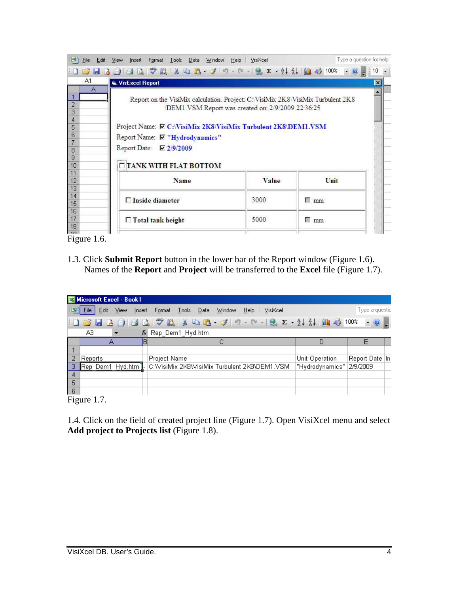| File<br>Edit                               | Insert Format Tools Data Window Help   VisiXcel<br>View                                                                                                                                                                                                |                                                   |             | Type a question for help |
|--------------------------------------------|--------------------------------------------------------------------------------------------------------------------------------------------------------------------------------------------------------------------------------------------------------|---------------------------------------------------|-------------|--------------------------|
|                                            |                                                                                                                                                                                                                                                        |                                                   |             |                          |
| A1                                         | <b>W. VisExcel Report</b>                                                                                                                                                                                                                              |                                                   |             | $\vert x \vert$          |
| Α<br>2<br>3<br>4<br>5<br>6<br>8<br>9<br>10 | Report on the VisiMix calculation. Project: C:\VisiMix 2K8\VisiMix Turbulent 2K8<br>Project Name: 区 C:\VisiMix 2K8\VisiMix Turbulent 2K8\DEM1.VSM<br>Report Name: Ø "Hydrodynamics"<br>Report Date: $\nabla$ 2/9/2009<br><b>TIANK WITH FLAT BOTTOM</b> | DEM1.VSM Report was created on: 2/9/2009 22:36:25 |             |                          |
| 11<br>12<br>13                             | Name                                                                                                                                                                                                                                                   | Value                                             | Unit        |                          |
| 14<br>15                                   | $\square$ Inside diameter                                                                                                                                                                                                                              | 3000                                              | 額<br>mm     |                          |
| 16<br>17<br>18                             | $\Box$ Total tank height                                                                                                                                                                                                                               | 5000                                              | $\sqcap$ mm |                          |
| 40 <sup>1</sup>                            |                                                                                                                                                                                                                                                        |                                                   |             |                          |

Figure 1.6.

1.3. Click **Submit Report** button in the lower bar of the Report window (Figure 1.6). Names of the **Report** and **Project** will be transferred to the **Excel** file (Figure 1.7).

|     | <b>Ed Microsoft Excel - Book1</b> |      |        |                                             |       |             |      |          |                 |          |                          |  |
|-----|-----------------------------------|------|--------|---------------------------------------------|-------|-------------|------|----------|-----------------|----------|--------------------------|--|
|     | 图】File<br>Edit                    | View | Insert | Format                                      | Tools | Data Window | HeIp | VisiXcel |                 |          | Type a questic           |  |
|     |                                   |      |        |                                             |       |             |      |          |                 |          | $\cdot$ 0 $\overline{a}$ |  |
|     | AЗ                                |      | $f_x$  | Rep_Dem1_Hyd.htm                            |       |             |      |          |                 |          |                          |  |
|     | А                                 |      | В      |                                             |       |             |      |          | Đ               |          |                          |  |
|     |                                   |      |        |                                             |       |             |      |          |                 |          |                          |  |
|     | Reports                           |      |        | <b>Project Name</b>                         |       |             |      |          | Unit Operation  |          | Report Date In           |  |
|     | Rep Dem1 Hyd.htm 1.               |      |        | C:WisiMix 2K8WisiMix Turbulent 2K8\DEM1.VSM |       |             |      |          | "Hydrodynamics" | 2/9/2009 |                          |  |
| 4   |                                   |      |        |                                             |       |             |      |          |                 |          |                          |  |
| 5   |                                   |      |        |                                             |       |             |      |          |                 |          |                          |  |
| l 6 |                                   |      |        |                                             |       |             |      |          |                 |          |                          |  |

Figure 1.7.

1.4. Click on the field of created project line (Figure 1.7). Open VisiXcel menu and select **Add project to Projects list** (Figure 1.8).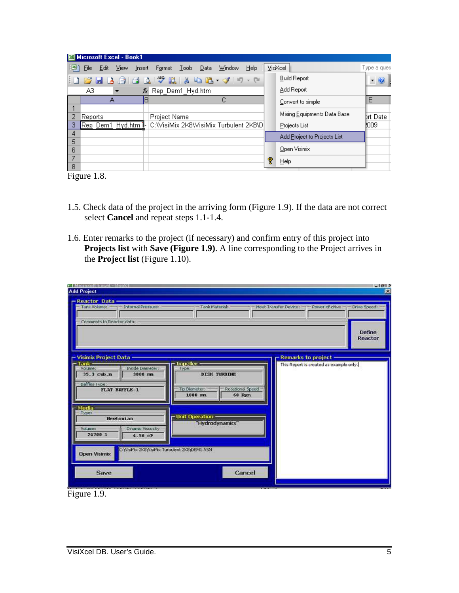|        | Microsoft Excel - Book1                     |             |        |                    |       |      |                                      |         |   |                              |                                |
|--------|---------------------------------------------|-------------|--------|--------------------|-------|------|--------------------------------------|---------|---|------------------------------|--------------------------------|
| 国      | File<br>Edit                                | <b>View</b> | Insert | Format             | Tools | Data | Window                               | $He$ lp |   | VisiXcel                     | Type a ques                    |
|        | : D & H B @   @ B   Y #   X & B · Y   9 · 0 |             |        |                    |       |      |                                      |         |   | <b>Build Report</b>          | ◉.<br>$\overline{\phantom{a}}$ |
|        | A3.                                         |             |        | ∱ Rep_Dem1_Hyd.htm |       |      |                                      |         |   | Add Report                   |                                |
|        |                                             | А           | B      |                    |       |      | С                                    |         |   | Convert to simple            | Ε                              |
|        | Reports                                     |             |        | Project Name       |       |      |                                      |         |   | Mixing Equipments Data Base  | <b>Brt Date</b>                |
| З      | Rep Dem1 Hyd.htm                            |             |        |                    |       |      | C:WisiMix 2K8WisiMix Turbulent 2K8\D |         |   | Projects List                | <b>2009</b>                    |
| 4      |                                             |             |        |                    |       |      |                                      |         |   | Add Project to Projects List |                                |
| 5<br>6 |                                             |             |        |                    |       |      |                                      |         |   | Open Visimix                 |                                |
|        |                                             |             |        |                    |       |      |                                      |         | T | Help                         |                                |
| 8      |                                             |             |        |                    |       |      |                                      |         |   |                              |                                |

Figure 1.8.

- 1.5. Check data of the project in the arriving form (Figure 1.9). If the data are not correct select **Cancel** and repeat steps 1.1-1.4.
- 1.6. Enter remarks to the project (if necessary) and confirm entry of this project into **Projects list** with **Save (Figure 1.9)**. A line corresponding to the Project arrives in the **Project list** (Figure 1.10).

| <b>SYMICIDXON EXCEL: HOOKI</b>                                       |                                              | $-1012$                                                 |
|----------------------------------------------------------------------|----------------------------------------------|---------------------------------------------------------|
| <b>Add Project</b>                                                   |                                              |                                                         |
| - Reactor Data -                                                     |                                              |                                                         |
| Tank Volume:<br>Internal Pressure:                                   | Tank Material:                               | Power of drive<br>Heat Transfer Device:<br>Drive Speed: |
|                                                                      |                                              |                                                         |
| Comments to Reactor data:                                            |                                              |                                                         |
|                                                                      |                                              | Define                                                  |
|                                                                      |                                              | Reactor                                                 |
|                                                                      |                                              |                                                         |
| <b>Visimix Project Data</b>                                          |                                              | <b>Remarks to project</b>                               |
| $Tank =$                                                             | Impeller -                                   | This Report is created as example only.                 |
| Volume:<br>Inside Diameter:                                          | Type:                                        |                                                         |
| 3000 mm<br>35.3 cub.n                                                | <b>DISK TURBINE</b>                          |                                                         |
| Baffles Type:                                                        |                                              |                                                         |
| <b>FLAT BAFFLE-1</b>                                                 | Tip Diameter:<br>Rotational Speed<br>1000 mm |                                                         |
|                                                                      | 60 Rpm                                       |                                                         |
| - Media -                                                            |                                              |                                                         |
| Type:                                                                | - Unit Operation                             |                                                         |
| <b>Newtonian</b>                                                     | "Hydrodynamics"                              |                                                         |
| Volume:<br>Dinamic Viscosity                                         |                                              |                                                         |
| 24700 1<br>$4.50$ $cP$                                               |                                              |                                                         |
|                                                                      |                                              |                                                         |
| C:\VisiMo: 2K8\VisiMo: Turbulent 2K8\DEM1.VSM<br><b>Open Visimix</b> |                                              |                                                         |
|                                                                      |                                              |                                                         |
|                                                                      |                                              |                                                         |
| <b>Save</b>                                                          | Cancel                                       |                                                         |
|                                                                      |                                              |                                                         |

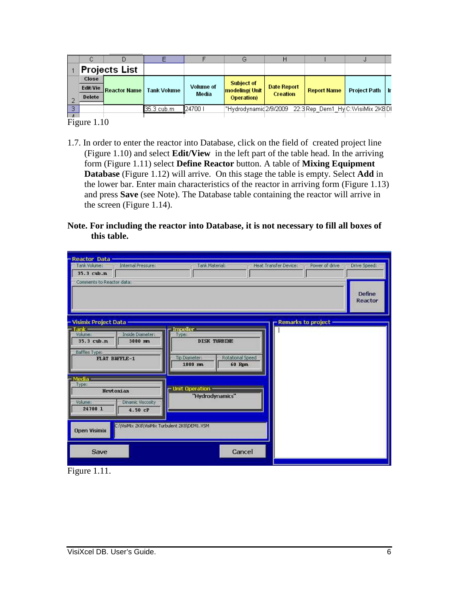|        |                      |                     |                    |                           | しっ                    |                                       |                                                           | υ                   |       |
|--------|----------------------|---------------------|--------------------|---------------------------|-----------------------|---------------------------------------|-----------------------------------------------------------|---------------------|-------|
|        | <b>Projects List</b> |                     |                    |                           |                       |                                       |                                                           |                     |       |
|        | Close                |                     |                    |                           | <b>Subject of</b>     |                                       |                                                           |                     |       |
|        | Edit/Vie             | <b>Reactor Name</b> | <b>Tank Volume</b> | <b>Volume of</b><br>Media | <b>modeling</b> (Unit | <b>Date Report</b><br><b>Creation</b> | <b>Report Name</b>                                        | <b>Project Path</b> | -l Ir |
|        | <b>Delete</b>        |                     |                    |                           | <b>Operation</b> )    |                                       |                                                           |                     |       |
| $\Box$ |                      |                     | 35.3 cub.m         | 1247001                   |                       |                                       | "Hydrodynamid2/9/2009 - 22:3 Rep-Dem1-Hy C:WisiMix-2K8 DI |                     |       |
| $ -$   |                      |                     |                    |                           |                       |                                       |                                                           |                     |       |

Figure 1.10

- 1.7. In order to enter the reactor into Database, click on the field of created project line (Figure 1.10) and select **Edit/View** in the left part of the table head. In the arriving form (Figure 1.11) select **Define Reactor** button. A table of **Mixing Equipment Database** (Figure 1.12) will arrive. On this stage the table is empty. Select **Add** in the lower bar. Enter main characteristics of the reactor in arriving form (Figure 1.13) and press **Save** (see Note). The Database table containing the reactor will arrive in the screen (Figure 1.14).
- **Note. For including the reactor into Database, it is not necessary to fill all boxes of this table.**

| <b>Reactor Data</b><br>Internal Pressure:<br>Tank Volume:<br>35.3 cub.n                                                                  | Tank Material:                                                                                           | Heat Transfer Device:<br>Power of drive<br>Drive Speed: |
|------------------------------------------------------------------------------------------------------------------------------------------|----------------------------------------------------------------------------------------------------------|---------------------------------------------------------|
| Comments to Reactor data:                                                                                                                |                                                                                                          | Define<br>Reactor                                       |
| <b>Visimix Project Data</b><br>- Tank –<br>Inside Diameter:<br>Volume:<br>35.3 cub.m<br>3000 mm<br>Baffles Type:<br><b>FLAT BAFFLE-1</b> | <b>Impeller</b><br>Туре:<br><b>DISK TURBINE</b><br>To Diameter:<br>Rotational Speed<br>1000 mm<br>60 Rpm | Remarks to project                                      |
| - Media -<br>Type:<br>Newtonian<br>Dinamic Viscosity<br>Volume:<br>24700 1<br>$4.50$ $cP$                                                | - Unit Operation<br>"Hydrodynamics"                                                                      |                                                         |
| C:\VisiMix 2K8\VisiMix Turbulent 2K8\DEM1.VSM<br><b>Open Visimix</b><br>Save                                                             | Cancel                                                                                                   |                                                         |

Figure 1.11.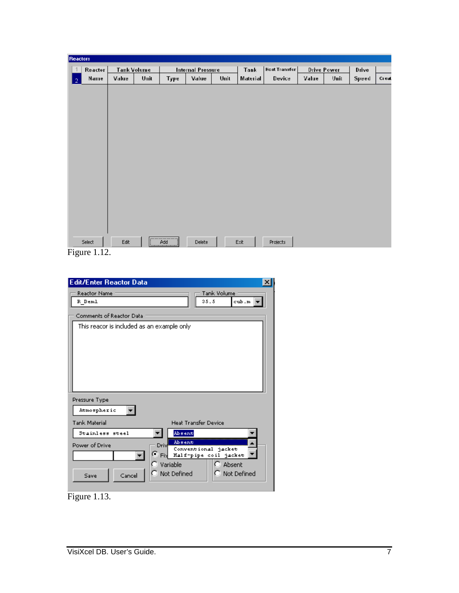| <b>Reactors</b> |                      |                                     |  |      |                          |      |          |                      |             |      |       |       |
|-----------------|----------------------|-------------------------------------|--|------|--------------------------|------|----------|----------------------|-------------|------|-------|-------|
| $\overline{1}$  | Reactor              | <b>Tank Volume</b><br>Unit<br>Value |  |      | <b>Internal Pressure</b> |      | Tank     | <b>Heat Transfer</b> | Drive Power |      | Drive |       |
| $\sqrt{2}$      | Name                 |                                     |  | Type | Value                    | Unit | Material | Device               | Value       | Unit | Speed | Creat |
|                 |                      |                                     |  |      |                          |      |          |                      |             |      |       |       |
|                 |                      |                                     |  |      |                          |      |          |                      |             |      |       |       |
|                 |                      |                                     |  |      |                          |      |          |                      |             |      |       |       |
|                 |                      |                                     |  |      |                          |      |          |                      |             |      |       |       |
|                 |                      |                                     |  |      |                          |      |          |                      |             |      |       |       |
|                 |                      |                                     |  |      |                          |      |          |                      |             |      |       |       |
|                 |                      |                                     |  |      |                          |      |          |                      |             |      |       |       |
|                 |                      |                                     |  |      |                          |      |          |                      |             |      |       |       |
|                 |                      |                                     |  |      |                          |      |          |                      |             |      |       |       |
|                 |                      |                                     |  |      |                          |      |          |                      |             |      |       |       |
|                 |                      |                                     |  |      |                          |      |          |                      |             |      |       |       |
|                 |                      |                                     |  |      |                          |      |          |                      |             |      |       |       |
|                 |                      |                                     |  |      |                          |      |          |                      |             |      |       |       |
|                 |                      |                                     |  |      |                          |      |          |                      |             |      |       |       |
|                 |                      |                                     |  |      |                          |      |          |                      |             |      |       |       |
|                 |                      |                                     |  |      |                          |      |          |                      |             |      |       |       |
|                 | Select               | Edit                                |  |      | Delete                   |      | Exit     | Projects             |             |      |       |       |
|                 | $\Gamma$ $\sim$ 1.10 |                                     |  |      |                          |      |          |                      |             |      |       |       |

Figure 1.12.

| <b>Edit/Enter Reactor Data</b><br>x                     |
|---------------------------------------------------------|
| Tank Volume<br><b>Reactor Name</b>                      |
| 35.5<br>R Deml<br>cubi.m ∣                              |
| Comments of Reactor Data                                |
| This reacor is included as an example only              |
|                                                         |
|                                                         |
|                                                         |
|                                                         |
|                                                         |
|                                                         |
| Pressure Type                                           |
|                                                         |
| Atmospheric                                             |
| <b>Tank Material</b><br><b>Heat Transfer Device</b>     |
| Absent<br>Stainless steel                               |
| Absent<br>Driv<br>Power of Drive<br>Conventional jacket |
| G.<br>Half-pipe coil jacket<br>Fix                      |
| Variable<br>O.<br>Absent                                |
| C Not Defined<br>C Not Defined<br>Cancel<br>Save        |
|                                                         |

Figure 1.13.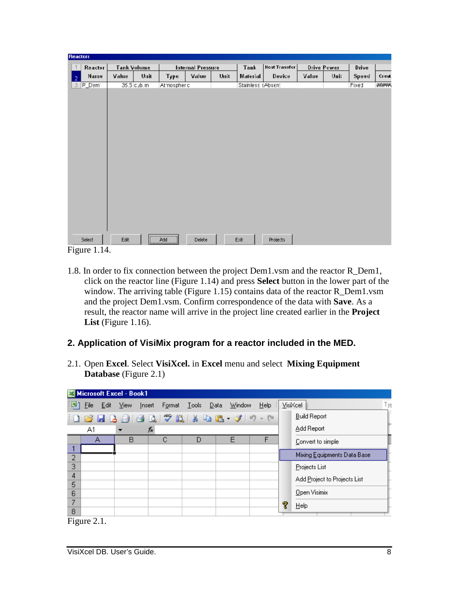| <b>Reactors</b> |                |                    |              |               |                   |      |                   |                      |       |                    |       |              |
|-----------------|----------------|--------------------|--------------|---------------|-------------------|------|-------------------|----------------------|-------|--------------------|-------|--------------|
| $\overline{1}$  | Reactor        | <b>Tank Volume</b> |              |               | Internal Pressure |      | Tank              | <b>Heat Transfer</b> |       | <b>Drive Power</b> | Drive |              |
| $\sqrt{2}$      | Name           | Value              | Unit         | Type          | Value             | Unit | Material          | Device               | Value | Unit               | Speed | <b>Creat</b> |
| 3 <sup>1</sup>  | <b>R_Dem</b> 1 |                    | $35.5$ cub.m | Atmospheric   |                   |      | Stainless (Absent |                      |       |                    | Fixed | ####         |
|                 |                |                    |              |               |                   |      |                   |                      |       |                    |       |              |
|                 |                |                    |              |               |                   |      |                   |                      |       |                    |       |              |
|                 |                |                    |              |               |                   |      |                   |                      |       |                    |       |              |
|                 |                |                    |              |               |                   |      |                   |                      |       |                    |       |              |
|                 |                |                    |              |               |                   |      |                   |                      |       |                    |       |              |
|                 |                |                    |              |               |                   |      |                   |                      |       |                    |       |              |
|                 |                |                    |              |               |                   |      |                   |                      |       |                    |       |              |
|                 |                |                    |              |               |                   |      |                   |                      |       |                    |       |              |
|                 |                |                    |              |               |                   |      |                   |                      |       |                    |       |              |
|                 |                |                    |              |               |                   |      |                   |                      |       |                    |       |              |
|                 |                |                    |              |               |                   |      |                   |                      |       |                    |       |              |
|                 | Select         | Edit               |              | <br>$\rho$ dd | Delete            |      | Exit              | Projects             |       |                    |       |              |

Figure 1.14.

1.8. In order to fix connection between the project Dem1.vsm and the reactor R\_Dem1, click on the reactor line (Figure 1.14) and press **Select** button in the lower part of the window. The arriving table (Figure 1.15) contains data of the reactor R\_Dem1.vsm and the project Dem1.vsm. Confirm correspondence of the data with **Save**. As a result, the reactor name will arrive in the project line created earlier in the **Project List** (Figure 1.16).

### **2. Application of VisiMix program for a reactor included in the MED.**

2.1. Open **Excel**. Select **VisiXcel.** in **Excel** menu and select **Mixing Equipment Database** (Figure 2.1)

|   | Microsoft Excel - Book1 |                          |                             |                                            |        |    |    |                              |
|---|-------------------------|--------------------------|-----------------------------|--------------------------------------------|--------|----|----|------------------------------|
| 国 | Eile                    | Edit ⊻iew                | Insert                      | F <u>o</u> rmat <u>T</u> ools <u>D</u> ata | Window | He |    | Туј<br>VisiXcel              |
|   |                         |                          | <b>6 FBBBBC 3 NBB-3 9-8</b> |                                            |        |    |    | <b>Build Report</b>          |
|   | A1.                     | $\overline{\phantom{0}}$ | fx                          |                                            |        |    |    | Add Report                   |
|   | А                       | в                        | С                           | D                                          | Е      |    |    | Convert to simple            |
| 2 |                         |                          |                             |                                            |        |    |    | Mixing Equipments Data Base  |
| 3 |                         |                          |                             |                                            |        |    |    | Projects List                |
| 4 |                         |                          |                             |                                            |        |    |    | Add Project to Projects List |
| 5 |                         |                          |                             |                                            |        |    |    |                              |
| 6 |                         |                          |                             |                                            |        |    |    | Open Visimix                 |
| 7 |                         |                          |                             |                                            |        |    | f. | Help                         |
| 8 |                         |                          |                             |                                            |        |    |    |                              |

Figure 2.1.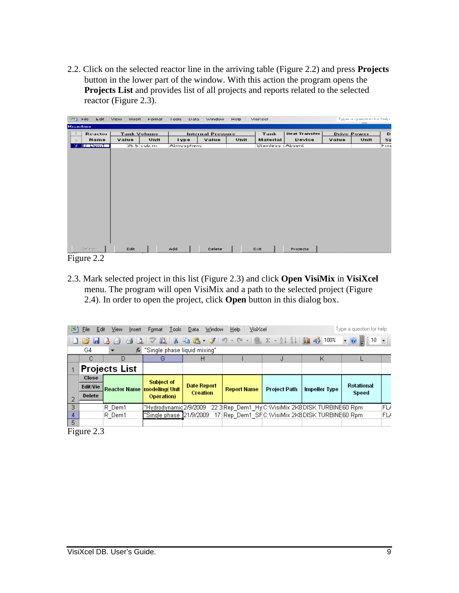2.2. Click on the selected reactor line in the arriving table (Figure 2.2) and press **Projects** button in the lower part of the window. With this action the program opens the **Projects List** and provides list of all projects and reports related to the selected reactor (Figure 2.3).

| ान्धी            | <b>File</b><br>Edit | View<br>Insert | Hormat             | Diata<br>Lool? | Window                   | Help. | Visition         |                      |       | Type a question for help. |                |
|------------------|---------------------|----------------|--------------------|----------------|--------------------------|-------|------------------|----------------------|-------|---------------------------|----------------|
| <b>Hisochois</b> |                     |                |                    |                |                          |       |                  |                      |       |                           |                |
|                  | Reactor             |                | <b>Tank Volume</b> |                | <b>Internal Pressure</b> |       | Tank             | <b>Heat Transfer</b> |       | <b>Drive Power</b>        | D              |
| $\supset$        | Name                | Value          | Unit               | l ype          | Value                    | Unit  | Material         | Device               | Value | Unit                      | S <sub>F</sub> |
| з                | <b>IR Demi</b>      |                | 35.5 cub.ml        | Almosphene     |                          |       | Stamless (Absent |                      |       |                           | <b>Fixe</b>    |
|                  |                     |                |                    |                |                          |       |                  |                      |       |                           |                |
|                  |                     |                |                    |                |                          |       |                  |                      |       |                           |                |
|                  |                     |                |                    |                |                          |       |                  |                      |       |                           |                |
|                  |                     |                |                    |                |                          |       |                  |                      |       |                           |                |
|                  |                     |                |                    |                |                          |       |                  |                      |       |                           |                |
|                  |                     |                |                    |                |                          |       |                  |                      |       |                           |                |
|                  |                     |                |                    |                |                          |       |                  |                      |       |                           |                |
|                  |                     |                |                    |                |                          |       |                  |                      |       |                           |                |
|                  |                     |                |                    |                |                          |       |                  |                      |       |                           |                |
|                  |                     |                |                    |                |                          |       |                  |                      |       |                           |                |
|                  |                     |                |                    |                |                          |       |                  |                      |       |                           |                |
|                  |                     |                |                    |                |                          |       |                  |                      |       |                           |                |
|                  |                     |                |                    |                |                          |       |                  |                      |       |                           |                |
|                  |                     |                |                    |                |                          |       |                  |                      |       |                           |                |
|                  | Select.             | Edit           |                    | Add            | Dielete                  |       | <b>Colt</b>      | Projects             |       |                           |                |
|                  | Figure 2.2          |                |                    |                |                          |       |                  |                      |       |                           |                |

2.3. Mark selected project in this list (Figure 2.3) and click **Open VisiMix** in **VisiXcel** menu. The program will open VisiMix and a path to the selected project (Figure 2.4). In order to open the project, click **Open** button in this dialog box.

| iei) | File<br>Edit                             |                               | Type a question for help           |                    |                    |                     |                                                     |            |    |  |  |
|------|------------------------------------------|-------------------------------|------------------------------------|--------------------|--------------------|---------------------|-----------------------------------------------------|------------|----|--|--|
|      |                                          |                               |                                    |                    |                    |                     |                                                     |            |    |  |  |
|      | "Single phase liquid mixing"<br>G4<br>fx |                               |                                    |                    |                    |                     |                                                     |            |    |  |  |
|      |                                          | D                             | G                                  | н                  |                    | J                   | Κ                                                   |            |    |  |  |
|      |                                          | <b>Projects List</b>          |                                    |                    |                    |                     |                                                     |            |    |  |  |
|      | Close                                    |                               | <b>Subject of</b>                  |                    |                    |                     |                                                     |            |    |  |  |
|      | <b>Edit/Vie</b>                          | Reactor Name   modeling (Unit |                                    | <b>Date Report</b> | <b>Report Name</b> | <b>Project Path</b> | <b>Impeller Type</b>                                | Rotational |    |  |  |
|      | <b>Delete</b>                            |                               | <b>Operation</b> )                 | <b>Creation</b>    |                    |                     |                                                     | Speed      |    |  |  |
| 3.   |                                          | R Dem1                        | "Hydrodynamid2/9/2009"             |                    |                    |                     | 22:3 Rep. Dem1_Hy C:\VisiMix 2K8 DISK TURBINE60 Rpm |            | FL |  |  |
| 4    |                                          | R Dem1                        | <u> "Single phase 1</u> 21/9/2009" |                    |                    |                     | 17: Rep_Dem1_SFC: WisiMix 2K8 DISK TURBINE60 Rpm    |            | FL |  |  |
| 5.   |                                          |                               |                                    |                    |                    |                     |                                                     |            |    |  |  |
|      | Figure 2.3                               |                               |                                    |                    |                    |                     |                                                     |            |    |  |  |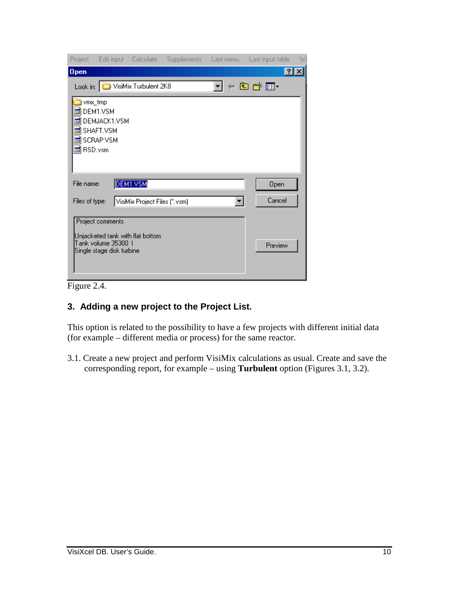|                        |                                                  |                                  |  | Project Edit input Calculate Supplements Last menu Last input table | W |
|------------------------|--------------------------------------------------|----------------------------------|--|---------------------------------------------------------------------|---|
| <b>Open</b>            |                                                  |                                  |  | $ ?  \times$                                                        |   |
|                        |                                                  | Look in: O VisiMix Turbulent 2K8 |  | ←面び囲・                                                               |   |
| <b>i</b> s<br>is.      | vmx_tmp<br>DEM1.VSM<br>DEMJACK1.VSM              |                                  |  |                                                                     |   |
|                        | 圖 SHAFT.VSM                                      |                                  |  |                                                                     |   |
|                        | 圖 SCRAP.VSM                                      |                                  |  |                                                                     |   |
| <mark>⊠</mark> RSD.vsm |                                                  |                                  |  |                                                                     |   |
| File name:             |                                                  | DEM1.VSM                         |  | Open                                                                |   |
| Files of type:         |                                                  | VisiMix Project Files (*.vsm)    |  | Cancel                                                              |   |
|                        | Project comments                                 |                                  |  |                                                                     |   |
|                        | Tank volume 35300 1<br>Single stage disk turbine | Unjacketed tank with flat bottom |  | Preview                                                             |   |
|                        |                                                  |                                  |  |                                                                     |   |

Figure 2.4.

## **3. Adding a new project to the Project List.**

This option is related to the possibility to have a few projects with different initial data (for example – different media or process) for the same reactor.

3.1. Create a new project and perform VisiMix calculations as usual. Create and save the corresponding report, for example – using **Turbulent** option (Figures 3.1, 3.2).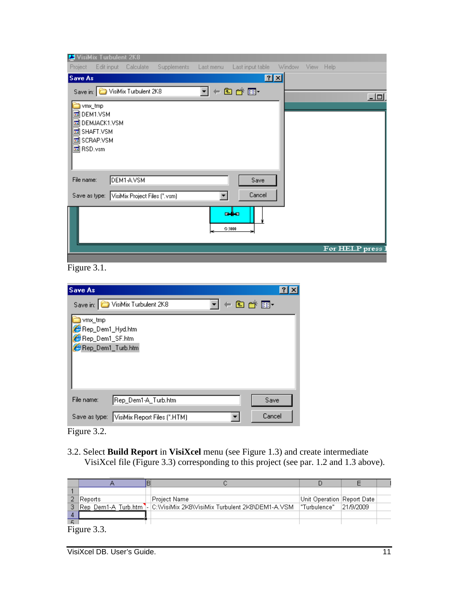|                                    | <b>E</b> VisiMix Turbulent 2K8               |                                             |             |           |                  |          |           |                |     |
|------------------------------------|----------------------------------------------|---------------------------------------------|-------------|-----------|------------------|----------|-----------|----------------|-----|
| Project                            | Edit input                                   | Calculate                                   | Supplements | Last menu | Last input table | – Window | View Help |                |     |
| Save As                            |                                              |                                             |             |           | 2x               |          |           |                |     |
|                                    |                                              | Save in: VisiMix Turbulent 2K8              |             | Н         | ←国合画・            |          |           |                | 그미. |
| vmx_tmp<br>圖 DEM1.VSM<br>圖 RSD.vsm | 圖 DEMJACK1.VSM<br>圖 SHAFT.VSM<br>圖 SCRAP.VSM |                                             |             |           |                  |          |           |                |     |
| File name:                         |                                              | DEM1-A.VSM                                  |             |           | Save             |          |           |                |     |
|                                    |                                              | Save as type: VisiMix Project Files (*.vsm) |             |           | Cancel           |          |           |                |     |
|                                    |                                              |                                             |             |           | e∯a<br>◎ 3000    |          |           |                |     |
|                                    |                                              |                                             |             |           |                  |          |           | For HELP press |     |
|                                    |                                              |                                             |             |           |                  |          |           |                |     |

Figure 3.1.

| <b>Save As</b>                                          |  |
|---------------------------------------------------------|--|
| ←面び囲∼<br>Save in: <b>C</b> VisiMix Turbulent 2K8        |  |
| vmx_tmp                                                 |  |
| Rep_Dem1_Hyd.htm                                        |  |
| Rep_Dem1_SF.htm                                         |  |
| Rep_Dem1_Turb.htm                                       |  |
|                                                         |  |
|                                                         |  |
|                                                         |  |
|                                                         |  |
| File name:<br>Rep_Dem1-A_Turb.htm<br>Save               |  |
| Cancel<br>VisiMix Report Files (".HTM)<br>Save as type: |  |

Figure 3.2.

3.2. Select **Build Report** in **VisiXcel** menu (see Figure 1.3) and create intermediate VisiXcel file (Figure 3.3) corresponding to this project (see par. 1.2 and 1.3 above).

|   | Reports     | Project Name                                                        | Unit Operation   Report Date |  |
|---|-------------|---------------------------------------------------------------------|------------------------------|--|
| 3 |             | Rep Dem1-A Turb.htm - C:WisiMix 2K8WisiMix Turbulent 2K8\DEM1-A.VSM | "Turbulence"  21/9/2009      |  |
|   |             |                                                                     |                              |  |
|   |             |                                                                     |                              |  |
|   | Figure 3.3. |                                                                     |                              |  |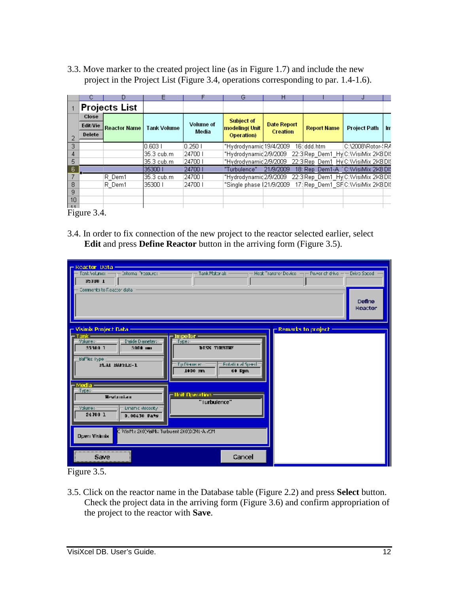3.3. Move marker to the created project line (as in Figure 1.7) and include the new project in the Project List (Figure 3.4, operations corresponding to par. 1.4-1.6).

|     |                      | IJ                  | ᄇ                  |                  | G                        | н                  |                    | J                                  |      |
|-----|----------------------|---------------------|--------------------|------------------|--------------------------|--------------------|--------------------|------------------------------------|------|
|     | <b>Projects List</b> |                     |                    |                  |                          |                    |                    |                                    |      |
|     | Close                |                     |                    |                  | <b>Subject of</b>        |                    |                    |                                    |      |
|     | <b>Edit/Vie</b>      | <b>Reactor Name</b> | <b>Tank Volume</b> | <b>Volume of</b> | <b>modeling</b> (Unit    | <b>Date Report</b> | <b>Report Name</b> | <b>Project Path</b>                | -Int |
|     | <b>Delete</b>        |                     |                    | Wedia            | <b>Operation</b> )       | <b>Creation</b>    |                    |                                    |      |
| з.  |                      |                     | 10.603.1           | $0.250$ I        | "Hydrodynamid 19/4/2009  |                    | 16: ddd.htm        | C:\2008\Rotor-{RA                  |      |
|     |                      |                     | 35.3 cub.m.        | 124700 I         | "Hydrodynamid2/9/2009    |                    |                    | 22:3 Rep Dem1 HylC: WisiMix 2K8 DK |      |
| 5.  |                      |                     | 135.3 cub.m        | 24700 I          | "Hydrodynamid2/9/2009    |                    |                    | 22:3 Rep Dem1 HylC: WisiMix 2K8 DK |      |
| 6   |                      |                     | 35300 1            | 24700            | "Turbulence"             | 21/9/2009          |                    | 18: Rep. Dem1-A [C:WisiMix 2K8 DI] |      |
|     |                      | R Dem1              | 35.3 cub.m.        | 24700            | "Hydrodynamid2/9/2009    |                    |                    | 22:3 Rep_Dem1_Hy C: WisiMix 2K8 DK |      |
| 8   |                      | R Dem1              | 35300 I            | 24700 L          | "Single phase (21/9/2009 |                    |                    | 17: Rep. Dem1_SFC: WisiMix 2K8 DIS |      |
| 9   |                      |                     |                    |                  |                          |                    |                    |                                    |      |
| 10  |                      |                     |                    |                  |                          |                    |                    |                                    |      |
| 111 |                      |                     |                    |                  |                          |                    |                    |                                    |      |

Figure 3.4.

3.4. In order to fix connection of the new project to the reactor selected earlier, select **Edit** and press **Define Reactor** button in the arriving form (Figure 3.5).

| — Reactor Data-<br>Interna Pressures<br>Tenk Volumer<br>35300 1                                     | Tank Mabariak                                                                               | - Power chidrive -<br>Heat Transfer Device -<br><b>Drive Secod</b> |
|-----------------------------------------------------------------------------------------------------|---------------------------------------------------------------------------------------------|--------------------------------------------------------------------|
| Comments to Reactor data.                                                                           |                                                                                             | Define<br><b>Heactor</b>                                           |
| Visimix Project Data:<br>- Tank -                                                                   | <b>Impeller</b>                                                                             | <b>Remarks to project</b>                                          |
| Volume:<br>Thside Diameters<br>35300 1<br>3000 (m)<br>Baffles Type<br>FLAI BAPELE-1                 | Type:<br><b>DISK TIRRINE</b><br><b>Butational Speed</b><br>Tu Diameter<br>1000 mm<br>60 Epm |                                                                    |
| – Medla –<br>Туре;<br>Weylonian<br><b>Linemic viscosity</b><br>Volume:<br>$24700$ 1<br>0.00450 Pats | <mark>– Hoit Operation –</mark><br>"Turbulence"                                             |                                                                    |
| <b>Duen Visimix</b>                                                                                 | C WisMx 2K0\VisiMx Turbulent 2K0\DIML-A.VCM                                                 |                                                                    |
| ----------------------------------<br>Save                                                          | Cancel                                                                                      |                                                                    |

Figure 3.5.

3.5. Click on the reactor name in the Database table (Figure 2.2) and press **Select** button. Check the project data in the arriving form (Figure 3.6) and confirm appropriation of the project to the reactor with **Save**.